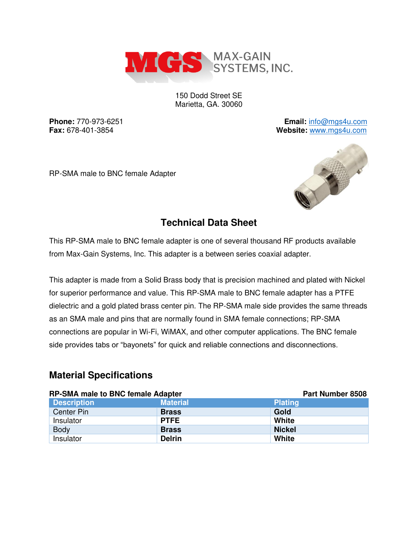

150 Dodd Street SE Marietta, GA. 30060

**Phone:** 770-973-6251 **Email:** [info@mgs4u.com](mailto:info@mgs4u.com) **Fax:** 678-401-3854 **Website:** [www.mgs4u.com](http://www.mgs4u.com/)

RP-SMA male to BNC female Adapter



## **Technical Data Sheet**

This RP-SMA male to BNC female adapter is one of several thousand RF products available from Max-Gain Systems, Inc. This adapter is a between series coaxial adapter.

This adapter is made from a Solid Brass body that is precision machined and plated with Nickel for superior performance and value. This RP-SMA male to BNC female adapter has a PTFE dielectric and a gold plated brass center pin. The RP-SMA male side provides the same threads as an SMA male and pins that are normally found in SMA female connections; RP-SMA connections are popular in Wi-Fi, WiMAX, and other computer applications. The BNC female side provides tabs or "bayonets" for quick and reliable connections and disconnections.

## **Material Specifications**

| <b>RP-SMA male to BNC female Adapter</b> |                 | Part Number 8508 |  |  |
|------------------------------------------|-----------------|------------------|--|--|
| <b>Description</b>                       | <b>Material</b> | <b>Plating</b>   |  |  |
| Center Pin                               | <b>Brass</b>    | Gold             |  |  |
| Insulator                                | <b>PTFE</b>     | White            |  |  |
| <b>Body</b>                              | <b>Brass</b>    | <b>Nickel</b>    |  |  |
| Insulator                                | <b>Delrin</b>   | White            |  |  |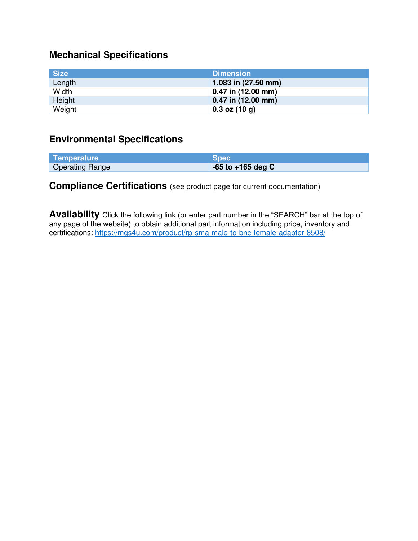# **Mechanical Specifications**

| <b>Size</b> | <b>Dimension</b>       |
|-------------|------------------------|
| Length      | 1.083 in (27.50 mm)    |
| Width       | 0.47 in (12.00 mm)     |
| Height      | $0.47$ in $(12.00$ mm) |
| Weight      | $0.3$ oz (10 g)        |

#### **Environmental Specifications**

| Temperature            | Spec                  |
|------------------------|-----------------------|
| <b>Operating Range</b> | $-65$ to $+165$ deg C |

## **Compliance Certifications** (see product page for current documentation)

**Availability** Click the following link (or enter part number in the "SEARCH" bar at the top of any page of the website) to obtain additional part information including price, inventory and certifications:<https://mgs4u.com/product/rp-sma-male-to-bnc-female-adapter-8508/>